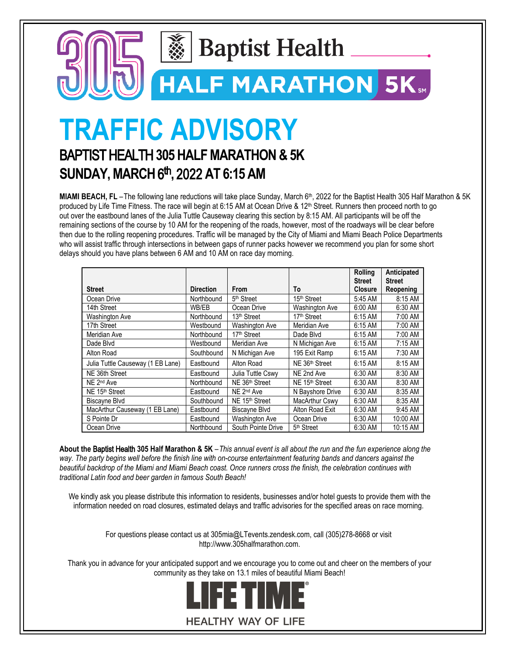

**HALF MARATHON 5K** 

**TRAFFIC ADVISORY** 

## BAPTIST HEALTH **305 HALF MARATHON & 5K SUNDAY, MARCH**6 **t**h **,** 2022 **AT 6:15 AM**

**MIAMI BEACH, FL** – The following lane reductions will take place Sunday, March 6<sup>th</sup>, 2022 for the Baptist Health 305 Half Marathon & 5K produced by Life Time Fitness. The race will begin at 6:15 AM at Ocean Drive & 12<sup>th</sup> Street. Runners then proceed north to go out over the eastbound lanes of the Julia Tuttle Causeway clearing this section by 8:15 AM. All participants will be off the remaining sections of the course by 10 AM for the reopening of the roads, however, most of the roadways will be clear before then due to the rolling reopening procedures. Traffic will be managed by the City of Miami and Miami Beach Police Departments who will assist traffic through intersections in between gaps of runner packs however we recommend you plan for some short delays should you have plans between 6 AM and 10 AM on race day morning.

|                                   |                  |                            |                         | <b>Rolling</b><br><b>Street</b> | Anticipated<br>Street |
|-----------------------------------|------------------|----------------------------|-------------------------|---------------------------------|-----------------------|
| <b>Street</b>                     | <b>Direction</b> | From                       | To                      | <b>Closure</b>                  | Reopening             |
| Ocean Drive                       | Northbound       | 5 <sup>th</sup> Street     | 15 <sup>th</sup> Street | 5:45 AM                         | 8:15 AM               |
| 14th Street                       | WB/EB            | Ocean Drive                | <b>Washington Ave</b>   | 6:00 AM                         | 6:30 AM               |
| <b>Washington Ave</b>             | Northbound       | 13 <sup>th</sup> Street    | 17 <sup>th</sup> Street | 6:15 AM                         | 7:00 AM               |
| 17th Street                       | Westbound        | <b>Washington Ave</b>      | Meridian Ave            | 6:15 AM                         | 7:00 AM               |
| Meridian Ave                      | Northbound       | 17th Street                | Dade Blvd               | 6:15 AM                         | 7:00 AM               |
| Dade Blvd                         | Westbound        | Meridian Ave               | N Michigan Ave          | 6:15 AM                         | 7:15 AM               |
| Alton Road                        | Southbound       | N Michigan Ave             | 195 Exit Ramp           | 6:15 AM                         | 7:30 AM               |
| Julia Tuttle Causeway (1 EB Lane) | Eastbound        | Alton Road                 | NE 36th Street          | 6:15 AM                         | 8:15 AM               |
| NE 36th Street                    | Eastbound        | Julia Tuttle Cswy          | NE 2nd Ave              | 6:30 AM                         | 8:30 AM               |
| NE 2 <sup>nd</sup> Ave            | Northbound       | NE 36 <sup>th</sup> Street | NE 15th Street          | 6:30 AM                         | 8:30 AM               |
| NE 15 <sup>th</sup> Street        | Eastbound        | NE 2 <sup>nd</sup> Ave     | N Bayshore Drive        | 6:30 AM                         | 8:35 AM               |
| <b>Biscayne Blvd</b>              | Southbound       | NE 15 <sup>th</sup> Street | <b>MacArthur Cswy</b>   | 6:30 AM                         | 8:35 AM               |
| MacArthur Causeway (1 EB Lane)    | Eastbound        | <b>Biscavne Blvd</b>       | Alton Road Exit         | 6:30 AM                         | 9:45 AM               |
| S Pointe Dr                       | Eastbound        | <b>Washington Ave</b>      | Ocean Drive             | 6:30 AM                         | 10:00 AM              |
| Ocean Drive                       | Northbound       | South Pointe Drive         | 5 <sup>th</sup> Street  | 6:30 AM                         | 10:15 AM              |

**About the** Baptist Health **305 Half Marathon & 5K** – *This annual event is all about the run and the fun experience along the way. The party begins well before the finish line with on-course entertainment featuring bands and dancers against the beautiful backdrop of the Miami and Miami Beach coast. Once runners cross the finish, the celebration continues with traditional Latin food and beer garden in famous South Beach!*

We kindly ask you please distribute this information to residents, businesses and/or hotel guests to provide them with the information needed on road closures, estimated delays and traffic advisories for the specified areas on race morning.

> For questions please contact us at 305mia@LTevents.zendesk.com, call (305)278-8668 or visit http://www.305halfmarathon.com.

Thank you in advance for your anticipated support and we encourage you to come out and cheer on the members of your community as they take on 13.1 miles of beautiful Miami Beach!